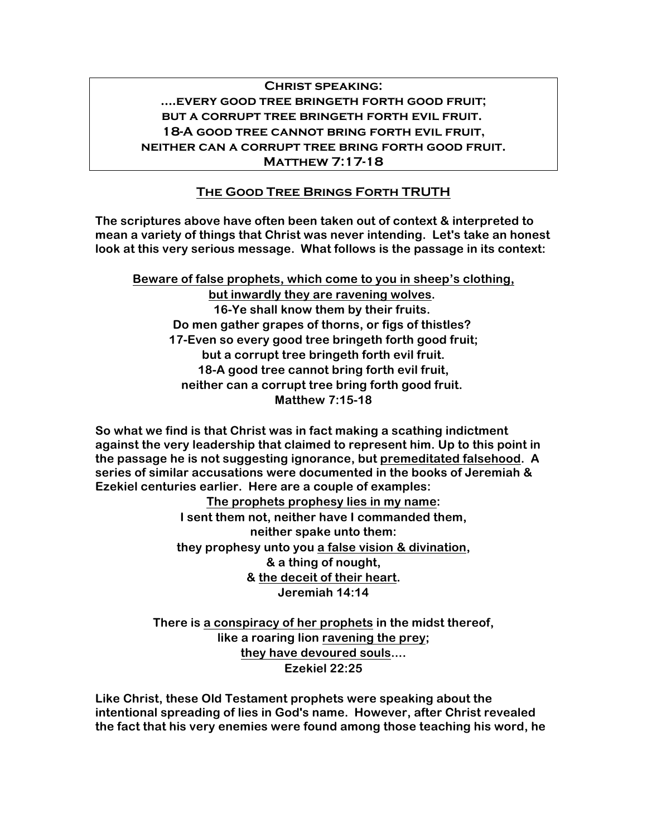## **Christ speaking: ....every good tree bringeth forth good fruit; but a corrupt tree bringeth forth evil fruit. 18-A good tree cannot bring forth evil fruit, neither can a corrupt tree bring forth good fruit. Matthew 7:17-18**

# **The Good Tree Brings Forth TRUTH**

**The scriptures above have often been taken out of context & interpreted to mean a variety of things that Christ was never intending. Let's take an honest look at this very serious message. What follows is the passage in its context:**

**Beware of false prophets, which come to you in sheep's clothing, but inwardly they are ravening wolves. 16-Ye shall know them by their fruits. Do men gather grapes of thorns, or figs of thistles? 17-Even so every good tree bringeth forth good fruit; but a corrupt tree bringeth forth evil fruit. 18-A good tree cannot bring forth evil fruit, neither can a corrupt tree bring forth good fruit. Matthew 7:15-18**

**So what we find is that Christ was in fact making a scathing indictment against the very leadership that claimed to represent him. Up to this point in the passage he is not suggesting ignorance, but premeditated falsehood. A series of similar accusations were documented in the books of Jeremiah & Ezekiel centuries earlier. Here are a couple of examples:**

**The prophets prophesy lies in my name: I sent them not, neither have I commanded them, neither spake unto them: they prophesy unto you a false vision & divination, & a thing of nought, & the deceit of their heart. Jeremiah 14:14**

**There is a conspiracy of her prophets in the midst thereof, like a roaring lion ravening the prey; they have devoured souls.... Ezekiel 22:25**

**Like Christ, these Old Testament prophets were speaking about the intentional spreading of lies in God's name. However, after Christ revealed the fact that his very enemies were found among those teaching his word, he**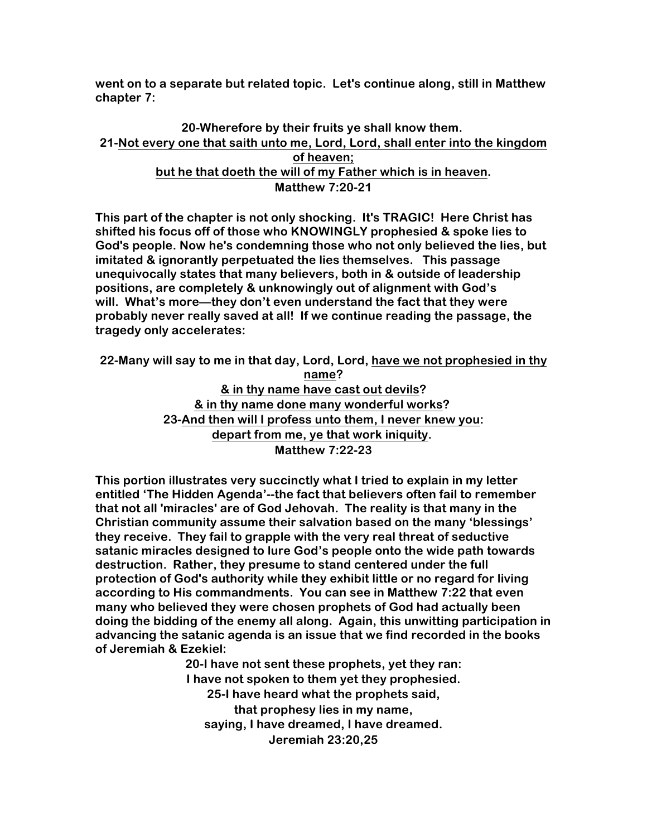**went on to a separate but related topic. Let's continue along, still in Matthew chapter 7:**

### **20-Wherefore by their fruits ye shall know them. 21-Not every one that saith unto me, Lord, Lord, shall enter into the kingdom of heaven; but he that doeth the will of my Father which is in heaven. Matthew 7:20-21**

**This part of the chapter is not only shocking. It's TRAGIC! Here Christ has shifted his focus off of those who KNOWINGLY prophesied & spoke lies to God's people. Now he's condemning those who not only believed the lies, but imitated & ignorantly perpetuated the lies themselves. This passage unequivocally states that many believers, both in & outside of leadership positions, are completely & unknowingly out of alignment with God's will. What's more—they don't even understand the fact that they were probably never really saved at all! If we continue reading the passage, the tragedy only accelerates:**

**22-Many will say to me in that day, Lord, Lord, have we not prophesied in thy name? & in thy name have cast out devils? & in thy name done many wonderful works? 23-And then will I profess unto them, I never knew you: depart from me, ye that work iniquity. Matthew 7:22-23**

**This portion illustrates very succinctly what I tried to explain in my letter entitled 'The Hidden Agenda'--the fact that believers often fail to remember that not all 'miracles' are of God Jehovah. The reality is that many in the Christian community assume their salvation based on the many 'blessings' they receive. They fail to grapple with the very real threat of seductive satanic miracles designed to lure God's people onto the wide path towards destruction. Rather, they presume to stand centered under the full protection of God's authority while they exhibit little or no regard for living according to His commandments. You can see in Matthew 7:22 that even many who believed they were chosen prophets of God had actually been doing the bidding of the enemy all along. Again, this unwitting participation in advancing the satanic agenda is an issue that we find recorded in the books of Jeremiah & Ezekiel:**

> **20-I have not sent these prophets, yet they ran: I have not spoken to them yet they prophesied. 25-I have heard what the prophets said, that prophesy lies in my name, saying, I have dreamed, I have dreamed. Jeremiah 23:20,25**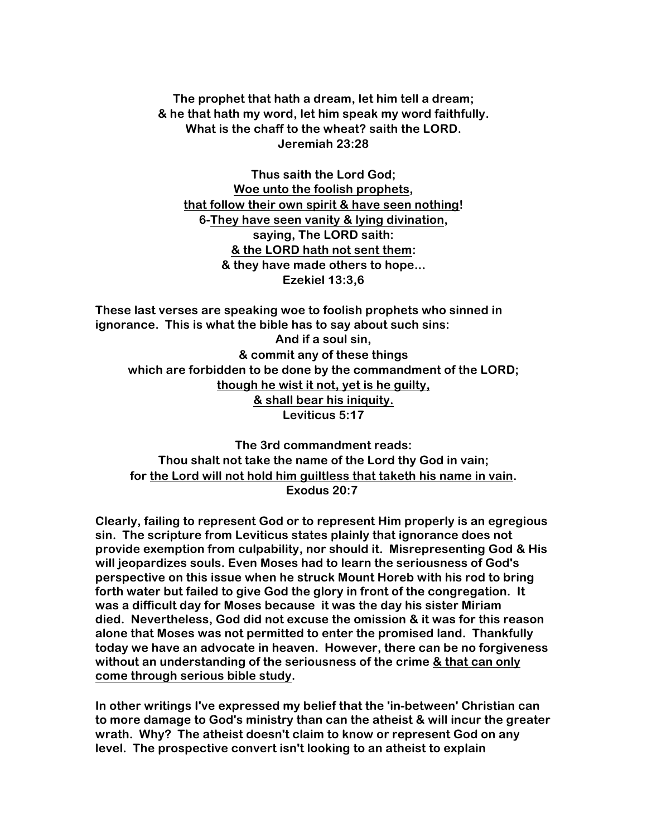**The prophet that hath a dream, let him tell a dream; & he that hath my word, let him speak my word faithfully. What is the chaff to the wheat? saith the LORD. Jeremiah 23:28**

**Thus saith the Lord God; Woe unto the foolish prophets, that follow their own spirit & have seen nothing! 6-They have seen vanity & lying divination, saying, The LORD saith: & the LORD hath not sent them: & they have made others to hope... Ezekiel 13:3,6**

**These last verses are speaking woe to foolish prophets who sinned in ignorance. This is what the bible has to say about such sins: And if a soul sin, & commit any of these things which are forbidden to be done by the commandment of the LORD; though he wist it not, yet is he guilty, & shall bear his iniquity. Leviticus 5:17**

**The 3rd commandment reads: Thou shalt not take the name of the Lord thy God in vain; for the Lord will not hold him guiltless that taketh his name in vain. Exodus 20:7**

**Clearly, failing to represent God or to represent Him properly is an egregious sin. The scripture from Leviticus states plainly that ignorance does not provide exemption from culpability, nor should it. Misrepresenting God & His will jeopardizes souls. Even Moses had to learn the seriousness of God's perspective on this issue when he struck Mount Horeb with his rod to bring forth water but failed to give God the glory in front of the congregation. It was a difficult day for Moses because it was the day his sister Miriam died. Nevertheless, God did not excuse the omission & it was for this reason alone that Moses was not permitted to enter the promised land. Thankfully today we have an advocate in heaven. However, there can be no forgiveness without an understanding of the seriousness of the crime & that can only come through serious bible study.**

**In other writings I've expressed my belief that the 'in-between' Christian can to more damage to God's ministry than can the atheist & will incur the greater wrath. Why? The atheist doesn't claim to know or represent God on any level. The prospective convert isn't looking to an atheist to explain**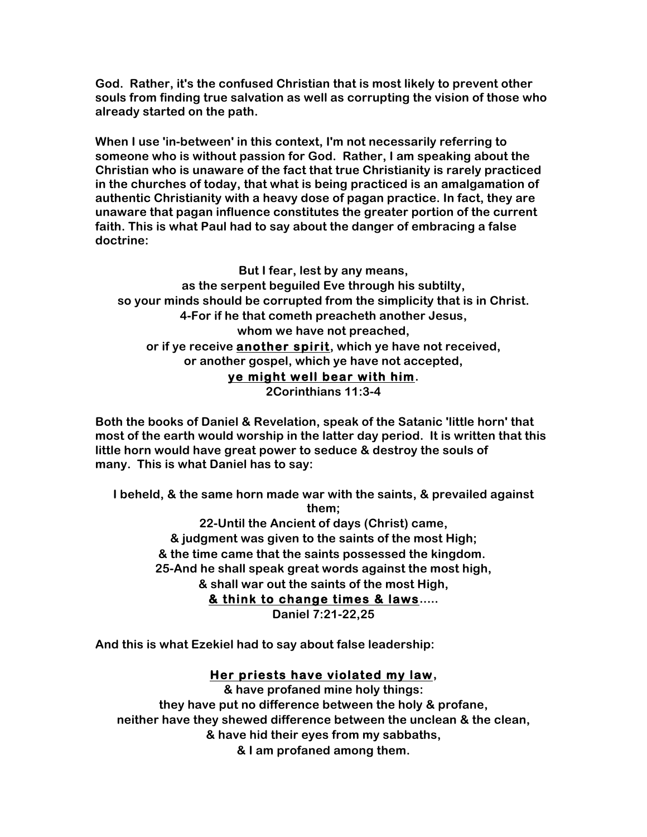**God. Rather, it's the confused Christian that is most likely to prevent other souls from finding true salvation as well as corrupting the vision of those who already started on the path.**

**When I use 'in-between' in this context, I'm not necessarily referring to someone who is without passion for God. Rather, I am speaking about the Christian who is unaware of the fact that true Christianity is rarely practiced in the churches of today, that what is being practiced is an amalgamation of authentic Christianity with a heavy dose of pagan practice. In fact, they are unaware that pagan influence constitutes the greater portion of the current faith. This is what Paul had to say about the danger of embracing a false doctrine:**

**But I fear, lest by any means, as the serpent beguiled Eve through his subtilty, so your minds should be corrupted from the simplicity that is in Christ. 4-For if he that cometh preacheth another Jesus, whom we have not preached, or if ye receive another spirit, which ye have not received, or another gospel, which ye have not accepted, ye might well bear with him. 2Corinthians 11:3-4**

**Both the books of Daniel & Revelation, speak of the Satanic 'little horn' that most of the earth would worship in the latter day period. It is written that this little horn would have great power to seduce & destroy the souls of many. This is what Daniel has to say:**

**I beheld, & the same horn made war with the saints, & prevailed against them; 22-Until the Ancient of days (Christ) came, & judgment was given to the saints of the most High; & the time came that the saints possessed the kingdom. 25-And he shall speak great words against the most high, & shall war out the saints of the most High, & think to change times & laws..... Daniel 7:21-22,25**

**And this is what Ezekiel had to say about false leadership:**

#### **Her priests have violated my law,**

**& have profaned mine holy things: they have put no difference between the holy & profane, neither have they shewed difference between the unclean & the clean, & have hid their eyes from my sabbaths, & I am profaned among them.**